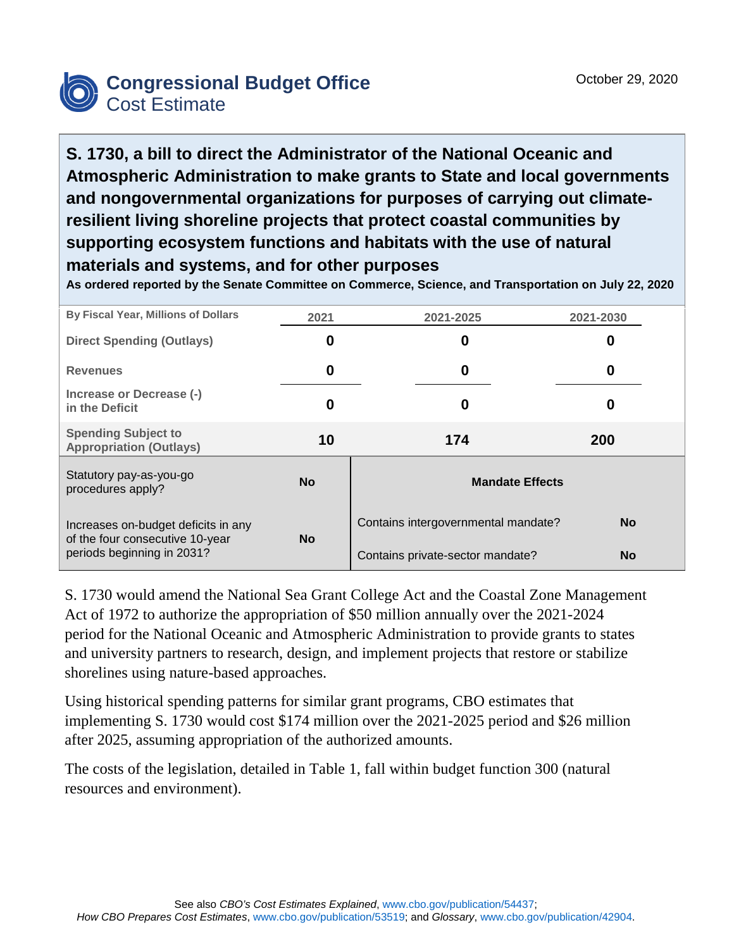

**S. 1730, a bill to direct the Administrator of the National Oceanic and Atmospheric Administration to make grants to State and local governments and nongovernmental organizations for purposes of carrying out climateresilient living shoreline projects that protect coastal communities by supporting ecosystem functions and habitats with the use of natural materials and systems, and for other purposes**

**As ordered reported by the Senate Committee on Commerce, Science, and Transportation on July 22, 2020**

| By Fiscal Year, Millions of Dollars                                                                  | 2021      | 2021-2025                           | 2021-2030  |  |
|------------------------------------------------------------------------------------------------------|-----------|-------------------------------------|------------|--|
| <b>Direct Spending (Outlays)</b>                                                                     | 0         | 0                                   | 0          |  |
| <b>Revenues</b>                                                                                      | 0         | 0                                   | 0          |  |
| Increase or Decrease (-)<br>in the Deficit                                                           | 0         | 0                                   | O          |  |
| <b>Spending Subject to</b><br><b>Appropriation (Outlays)</b>                                         | 10        | 174                                 | <b>200</b> |  |
| Statutory pay-as-you-go<br>procedures apply?                                                         | <b>No</b> | <b>Mandate Effects</b>              |            |  |
| Increases on-budget deficits in any<br>of the four consecutive 10-year<br>periods beginning in 2031? | <b>No</b> | Contains intergovernmental mandate? | <b>No</b>  |  |
|                                                                                                      |           | Contains private-sector mandate?    | <b>No</b>  |  |

S. 1730 would amend the National Sea Grant College Act and the Coastal Zone Management Act of 1972 to authorize the appropriation of \$50 million annually over the 2021-2024 period for the National Oceanic and Atmospheric Administration to provide grants to states and university partners to research, design, and implement projects that restore or stabilize shorelines using nature-based approaches.

Using historical spending patterns for similar grant programs, CBO estimates that implementing S. 1730 would cost \$174 million over the 2021-2025 period and \$26 million after 2025, assuming appropriation of the authorized amounts.

The costs of the legislation, detailed in Table 1, fall within budget function 300 (natural resources and environment).